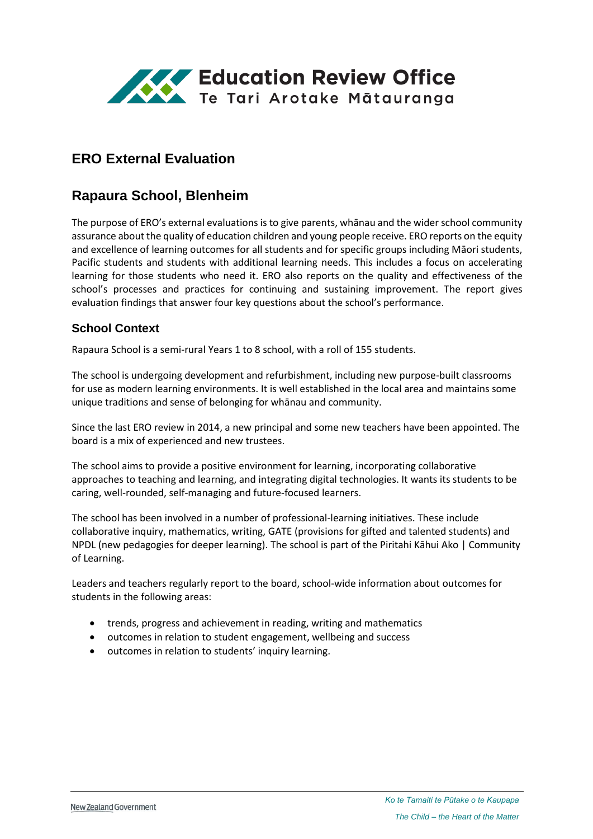

# **ERO External Evaluation**

# **Rapaura School, Blenheim**

The purpose of ERO's external evaluations is to give parents, whānau and the wider school community assurance about the quality of education children and young people receive. ERO reports on the equity and excellence of learning outcomes for all students and for specific groups including Māori students, Pacific students and students with additional learning needs. This includes a focus on accelerating learning for those students who need it. ERO also reports on the quality and effectiveness of the school's processes and practices for continuing and sustaining improvement. The report gives evaluation findings that answer four key questions about the school's performance.

### **School Context**

Rapaura School is a semi-rural Years 1 to 8 school, with a roll of 155 students.

The school is undergoing development and refurbishment, including new purpose-built classrooms for use as modern learning environments. It is well established in the local area and maintains some unique traditions and sense of belonging for whānau and community.

Since the last ERO review in 2014, a new principal and some new teachers have been appointed. The board is a mix of experienced and new trustees.

The school aims to provide a positive environment for learning, incorporating collaborative approaches to teaching and learning, and integrating digital technologies. It wants its students to be caring, well-rounded, self-managing and future-focused learners.

The school has been involved in a number of professional-learning initiatives. These include collaborative inquiry, mathematics, writing, GATE (provisions for gifted and talented students) and NPDL (new pedagogies for deeper learning). The school is part of the Piritahi Kāhui Ako | Community of Learning.

Leaders and teachers regularly report to the board, school-wide information about outcomes for students in the following areas:

- trends, progress and achievement in reading, writing and mathematics
- outcomes in relation to student engagement, wellbeing and success
- $\bullet$  outcomes in relation to students' inquiry learning.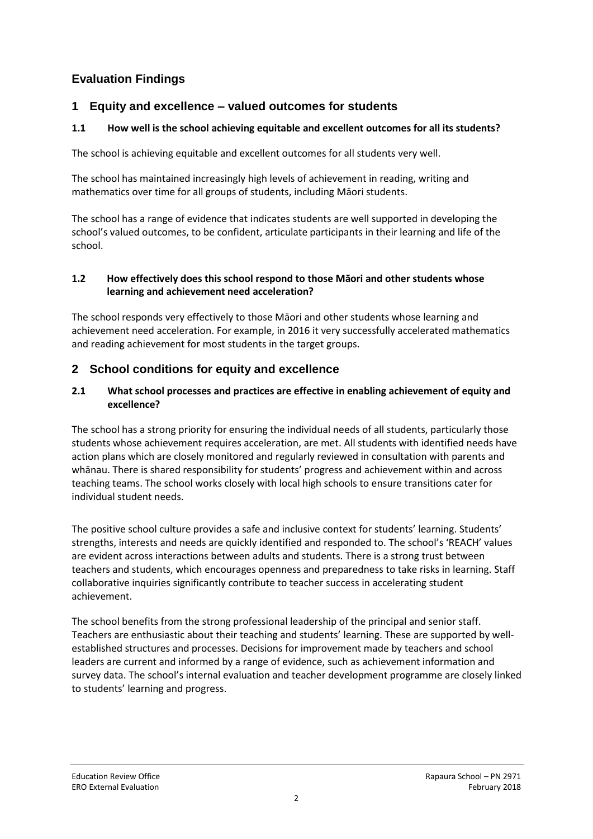## **Evaluation Findings**

## **1 Equity and excellence – valued outcomes for students**

### **1.1 How well is the school achieving equitable and excellent outcomes for all its students?**

The school is achieving equitable and excellent outcomes for all students very well.

The school has maintained increasingly high levels of achievement in reading, writing and mathematics over time for all groups of students, including Māori students.

The school has a range of evidence that indicates students are well supported in developing the school's valued outcomes, to be confident, articulate participants in their learning and life of the school.

#### **1.2 How effectively does this school respond to those Māori and other students whose learning and achievement need acceleration?**

The school responds very effectively to those Māori and other students whose learning and achievement need acceleration. For example, in 2016 it very successfully accelerated mathematics and reading achievement for most students in the target groups.

## **2 School conditions for equity and excellence**

#### **2.1 What school processes and practices are effective in enabling achievement of equity and excellence?**

The school has a strong priority for ensuring the individual needs of all students, particularly those students whose achievement requires acceleration, are met. All students with identified needs have action plans which are closely monitored and regularly reviewed in consultation with parents and whānau. There is shared responsibility for students' progress and achievement within and across teaching teams. The school works closely with local high schools to ensure transitions cater for individual student needs.

The positive school culture provides a safe and inclusive context for students' learning. Students' strengths, interests and needs are quickly identified and responded to. The school's 'REACH' values are evident across interactions between adults and students. There is a strong trust between teachers and students, which encourages openness and preparedness to take risks in learning. Staff collaborative inquiries significantly contribute to teacher success in accelerating student achievement.

The school benefits from the strong professional leadership of the principal and senior staff. Teachers are enthusiastic about their teaching and students' learning. These are supported by wellestablished structures and processes. Decisions for improvement made by teachers and school leaders are current and informed by a range of evidence, such as achievement information and survey data. The school's internal evaluation and teacher development programme are closely linked to students' learning and progress.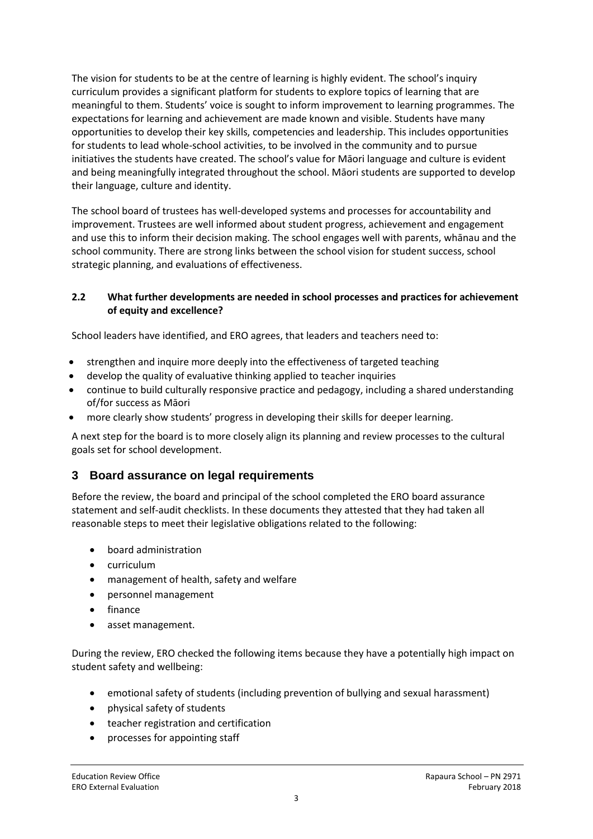The vision for students to be at the centre of learning is highly evident. The school's inquiry curriculum provides a significant platform for students to explore topics of learning that are meaningful to them. Students' voice is sought to inform improvement to learning programmes. The expectations for learning and achievement are made known and visible. Students have many opportunities to develop their key skills, competencies and leadership. This includes opportunities for students to lead whole-school activities, to be involved in the community and to pursue initiatives the students have created. The school's value for Māori language and culture is evident and being meaningfully integrated throughout the school. Māori students are supported to develop their language, culture and identity.

The school board of trustees has well-developed systems and processes for accountability and improvement. Trustees are well informed about student progress, achievement and engagement and use this to inform their decision making. The school engages well with parents, whānau and the school community. There are strong links between the school vision for student success, school strategic planning, and evaluations of effectiveness.

#### **2.2 What further developments are needed in school processes and practices for achievement of equity and excellence?**

School leaders have identified, and ERO agrees, that leaders and teachers need to:

- strengthen and inquire more deeply into the effectiveness of targeted teaching
- develop the quality of evaluative thinking applied to teacher inquiries
- continue to build culturally responsive practice and pedagogy, including a shared understanding of/for success as Māori
- more clearly show students' progress in developing their skills for deeper learning.

A next step for the board is to more closely align its planning and review processes to the cultural goals set for school development.

## **3 Board assurance on legal requirements**

Before the review, the board and principal of the school completed the ERO board assurance statement and self-audit checklists. In these documents they attested that they had taken all reasonable steps to meet their legislative obligations related to the following:

- board administration
- curriculum
- management of health, safety and welfare
- personnel management
- finance
- asset management.

During the review, ERO checked the following items because they have a potentially high impact on student safety and wellbeing:

- emotional safety of students (including prevention of bullying and sexual harassment)
- physical safety of students
- teacher registration and certification
- processes for appointing staff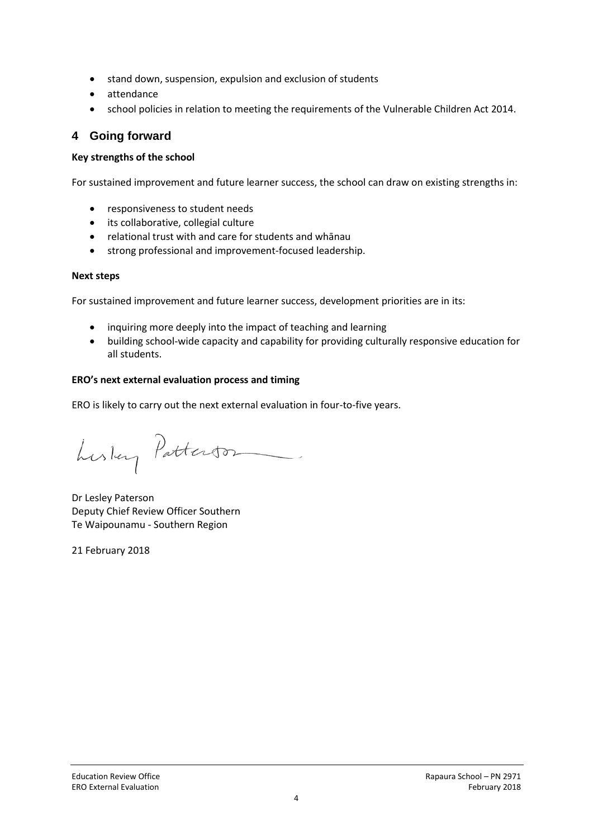- stand down, suspension, expulsion and exclusion of students
- attendance
- school policies in relation to meeting the requirements of the Vulnerable Children Act 2014.

## **4 Going forward**

#### **Key strengths of the school**

For sustained improvement and future learner success, the school can draw on existing strengths in:

- responsiveness to student needs
- its collaborative, collegial culture
- relational trust with and care for students and whānau
- strong professional and improvement-focused leadership.

#### **Next steps**

For sustained improvement and future learner success, development priorities are in its:

- inquiring more deeply into the impact of teaching and learning
- building school-wide capacity and capability for providing culturally responsive education for all students.

#### **ERO's next external evaluation process and timing**

ERO is likely to carry out the next external evaluation in four-to-five years.

Luslay Patterson

Dr Lesley Paterson Deputy Chief Review Officer Southern Te Waipounamu - Southern Region

21 February 2018